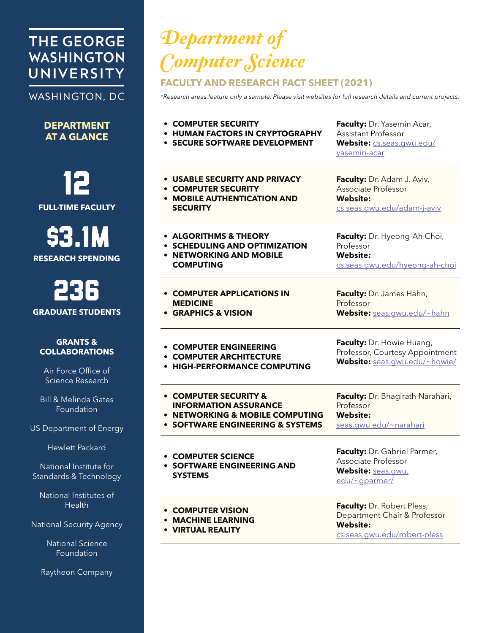# **THE GEORGE WASHINGTON** UNIVERSITY

## WASHINGTON, DC

**DEPARTMENT AT A GLANCE**

12 **FULL-TIME FACULTY**

\$3.1M **RESEARCH SPENDING**

236 **GRADUATE STUDENTS**

#### **GRANTS & COLLABORATIONS**

Air Force Office of Science Research

Bill & Melinda Gates Foundation

US Department of Energy

Hewlett Packard

National Institute for Standards & Technology

National Institutes of Health

National Security Agency

National Science Foundation

Raytheon Company

# *Department of Computer Science*

### **FACULTY AND RESEARCH FACT SHEET (2021)**

*\*Research areas feature only a sample. Please visit websites for full research details and current projects.*

| • COMPUTER SECURITY<br><b>HUMAN FACTORS IN CRYPTOGRAPHY</b><br><b>SECURE SOFTWARE DEVELOPMENT</b> | Faculty: Dr. Yasemin Acar,<br><b>Assistant Professor</b><br>Website: <b>CS.Seas.gwu.edu/</b><br>yasemin-acar  |
|---------------------------------------------------------------------------------------------------|---------------------------------------------------------------------------------------------------------------|
| • USABLE SECURITY AND PRIVACY                                                                     | Faculty: Dr. Adam J. Aviv,                                                                                    |
| • COMPUTER SECURITY                                                                               | Associate Professor                                                                                           |
| • MOBILE AUTHENTICATION AND                                                                       | <b>Website:</b>                                                                                               |
| <b>SECURITY</b>                                                                                   | cs.seas.gwu.edu/adam-j-aviv                                                                                   |
| • ALGORITHMS & THEORY                                                                             | Faculty: Dr. Hyeong-Ah Choi,                                                                                  |
| • SCHEDULING AND OPTIMIZATION                                                                     | Professor                                                                                                     |
| • NETWORKING AND MOBILE                                                                           | <b>Website:</b>                                                                                               |
| <b>COMPUTING</b>                                                                                  | cs.seas.gwu.edu/hyeong-ah-choi                                                                                |
| • COMPUTER APPLICATIONS IN                                                                        | Faculty: Dr. James Hahn,                                                                                      |
| <b>MEDICINE</b>                                                                                   | Professor                                                                                                     |
| • GRAPHICS & VISION                                                                               | Website: seas.gwu.edu/~hahn                                                                                   |
| • COMPUTER ENGINEERING                                                                            | Faculty: Dr. Howie Huang,                                                                                     |
| • COMPUTER ARCHITECTURE                                                                           | Professor, Courtesy Appointment                                                                               |
| <b>HIGH-PERFORMANCE COMPUTING</b>                                                                 | Website: seas.qwu.edu/~howie/                                                                                 |
| • COMPUTER SECURITY &                                                                             | Faculty: Dr. Bhagirath Narahari,                                                                              |
| <b>INFORMATION ASSURANCE</b>                                                                      | Professor                                                                                                     |
| <b>NETWORKING &amp; MOBILE COMPUTING</b>                                                          | <b>Website:</b>                                                                                               |
| • SOFTWARE ENGINEERING & SYSTEMS                                                                  | seas.gwu.edu/~narahari                                                                                        |
| • COMPUTER SCIENCE<br><b>• SOFTWARE ENGINEERING AND</b><br><b>SYSTEMS</b>                         | Faculty: Dr. Gabriel Parmer,<br>Associate Professor<br>Website: seas.gwu.<br>edu/~gparmer/                    |
| <b>COMPUTER VISION</b><br><b>MACHINE LEARNING</b><br><b>VIRTUAL REALITY</b>                       | Faculty: Dr. Robert Pless,<br>Department Chair & Professor<br><b>Website:</b><br>cs.seas.gwu.edu/robert-pless |